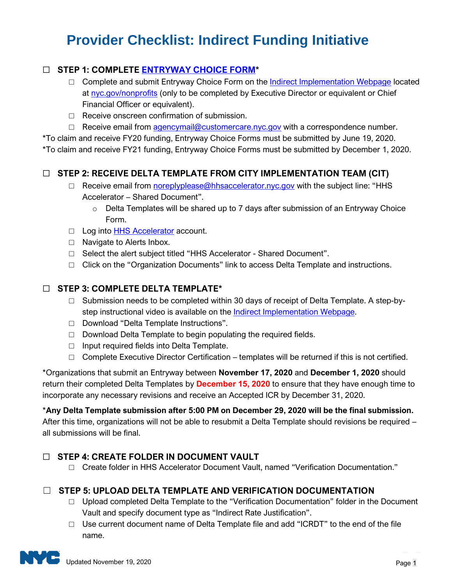# **Provider Checklist: Indirect Funding Initiative**

# ☐ **STEP 1: COMPLETE [ENTRYWAY CHOICE FORM\\*](https://www1.nyc.gov/site/nonprofits/funded-providers/indirect-entryway-choice-form.page)**

- $\Box$  Complete and submit Entryway Choice Form on the [Indirect Implementation Webpage](https://www1.nyc.gov/site/nonprofits/funded-providers/indirect-implementation.page) located at [nyc.gov/nonprofits](https://www1.nyc.gov/site/nonprofits/index.page) (only to be completed by Executive Director or equivalent or Chief Financial Officer or equivalent).
- □ Receive onscreen confirmation of submission.
- $\Box$  Receive email from [agencymail@customercare.nyc.gov](mailto:agencymail@customercare.nyc.gov) with a correspondence number.

\*To claim and receive FY20 funding, Entryway Choice Forms must be submitted by June 19, 2020. \*To claim and receive FY21 funding, Entryway Choice Forms must be submitted by December 1, 2020.

#### ☐ **STEP 2: RECEIVE DELTA TEMPLATE FROM CITY IMPLEMENTATION TEAM (CIT)**

- □ Receive email from [noreplyplease@hhsaccelerator.nyc.gov](mailto:noreplyplease@hhsaccelerator.nyc.gov) with the subject line: "HHS Accelerator – Shared Document".
	- $\circ$  Delta Templates will be shared up to 7 days after submission of an Entryway Choice Form.
- □ Log into [HHS Accelerator](https://a069-hhsaccvp.nyc.gov/) account.
- □ Navigate to Alerts Inbox.
- □ Select the alert subject titled "HHS Accelerator Shared Document".
- $\Box$  Click on the "Organization Documents" link to access Delta Template and instructions.

#### ☐ **STEP 3: COMPLETE DELTA TEMPLATE\***

- $\Box$  Submission needs to be completed within 30 days of receipt of Delta Template. A step-bystep instructional video is available on the **Indirect Implementation Webpage**.
- □ Download "Delta Template Instructions".
- $\Box$  Download Delta Template to begin populating the required fields.
- □ Input required fields into Delta Template.
- $\Box$  Complete Executive Director Certification templates will be returned if this is not certified.

\*Organizations that submit an Entryway between **November 17, 2020** and **December 1, 2020** should return their completed Delta Templates by **December 15, 2020** to ensure that they have enough time to incorporate any necessary revisions and receive an Accepted ICR by December 31, 2020.

\***Any Delta Template submission after 5:00 PM on December 29, 2020 will be the final submission.** After this time, organizations will not be able to resubmit a Delta Template should revisions be required –

all submissions will be final.

#### ☐ **STEP 4: CREATE FOLDER IN DOCUMENT VAULT**

□ Create folder in HHS Accelerator Document Vault, named "Verification Documentation."

## ☐ **STEP 5: UPLOAD DELTA TEMPLATE AND VERIFICATION DOCUMENTATION**

- □ Upload completed Delta Template to the "Verification Documentation" folder in the Document Vault and specify document type as "Indirect Rate Justification".
- $\Box$  Use current document name of Delta Template file and add "ICRDT" to the end of the file name.